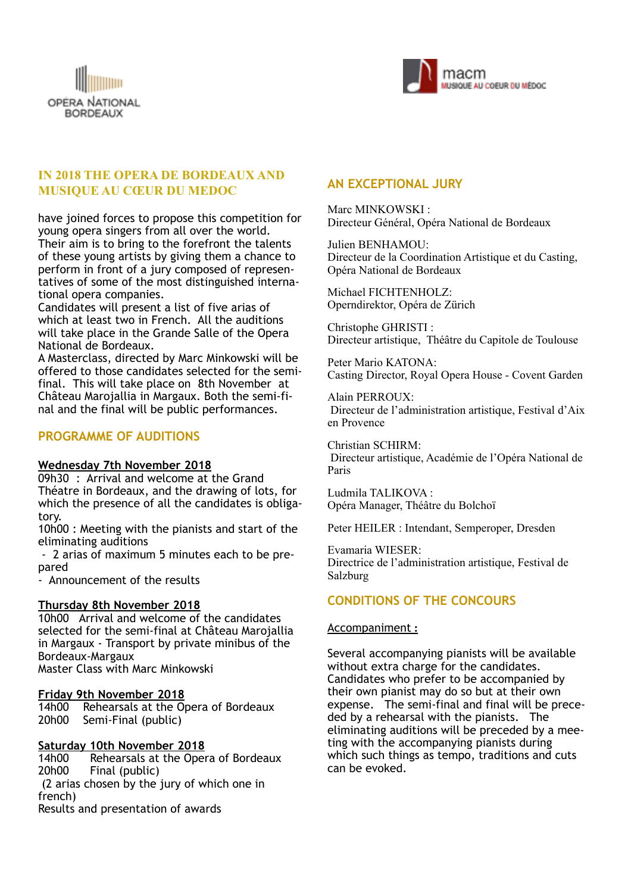



# **IN 2018 THE OPERA DE BORDEAUX AND MUSIQUE AU CŒUR DU MEDOC**

have joined forces to propose this competition for young opera singers from all over the world. Their aim is to bring to the forefront the talents of these young artists by giving them a chance to perform in front of a jury composed of representatives of some of the most distinguished international opera companies.

Candidates will present a list of five arias of which at least two in French. All the auditions will take place in the Grande Salle of the Opera National de Bordeaux.

A Masterclass, directed by Marc Minkowski will be offered to those candidates selected for the semifinal. This will take place on 8th November at Château Marojallia in Margaux. Both the semi-final and the final will be public performances.

### **PROGRAMME OF AUDITIONS**

#### **Wednesday 7th November 2018**

09h30 : Arrival and welcome at the Grand Théatre in Bordeaux, and the drawing of lots, for which the presence of all the candidates is obligatory.

10h00 : Meeting with the pianists and start of the eliminating auditions

 - 2 arias of maximum 5 minutes each to be prepared

- Announcement of the results

#### **Thursday 8th November 2018**

10h00 Arrival and welcome of the candidates selected for the semi-final at Château Marojallia in Margaux - Transport by private minibus of the Bordeaux-Margaux Master Class with Marc Minkowski

#### **Friday 9th November 2018**

14h00 Rehearsals at the Opera of Bordeaux 20h00 Semi-Final (public)

#### **Saturday 10th November 2018**

14h00 Rehearsals at the Opera of Bordeaux 20h00 Final (public) (2 arias chosen by the jury of which one in french) Results and presentation of awards

### **AN EXCEPTIONAL JURY**

Marc MINKOWSKI : Directeur Général, Opéra National de Bordeaux

Julien BENHAMOU: Directeur de la Coordination Artistique et du Casting, Opéra National de Bordeaux

Michael FICHTENHOLZ: Operndirektor, Opéra de Zürich

Christophe GHRISTI : Directeur artistique, Théâtre du Capitole de Toulouse

Peter Mario KATONA: Casting Director, Royal Opera House - Covent Garden

Alain PERROUX: Directeur de l'administration artistique, Festival d'Aix en Provence

Christian SCHIRM: Directeur artistique, Académie de l'Opéra National de Paris

Ludmila TALIKOVA : Opéra Manager, Théâtre du Bolchoï

Peter HEILER : Intendant, Semperoper, Dresden

Evamaria WIESER: Directrice de l'administration artistique, Festival de Salzburg

## **CONDITIONS OF THE CONCOURS**

#### Accompaniment **:**

Several accompanying pianists will be available without extra charge for the candidates. Candidates who prefer to be accompanied by their own pianist may do so but at their own expense. The semi-final and final will be preceded by a rehearsal with the pianists. The eliminating auditions will be preceded by a meeting with the accompanying pianists during which such things as tempo, traditions and cuts can be evoked.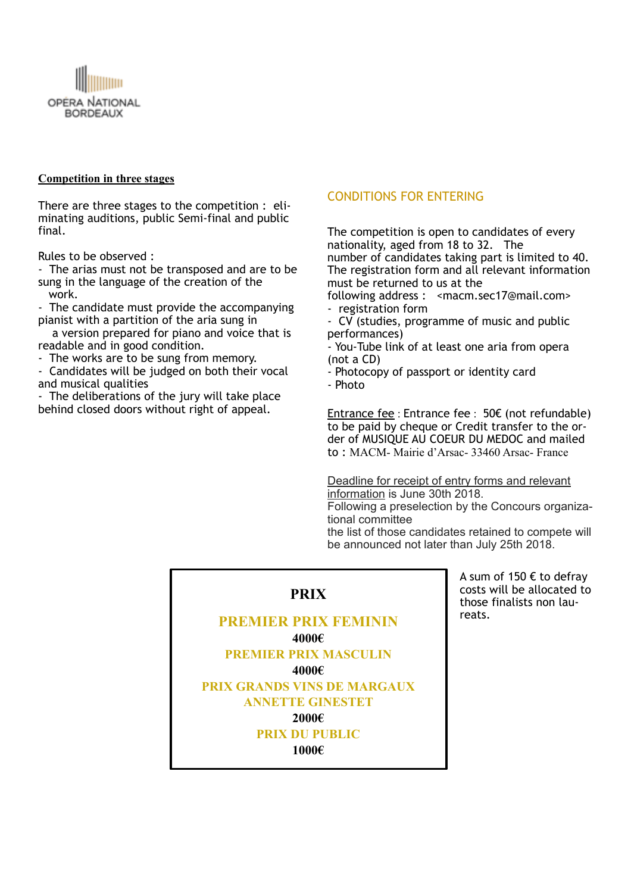

### **Competition in three stages**

There are three stages to the competition : eliminating auditions, public Semi-final and public final.

Rules to be observed :

- The arias must not be transposed and are to be sung in the language of the creation of the work.

- The candidate must provide the accompanying pianist with a partition of the aria sung in

 a version prepared for piano and voice that is readable and in good condition.

- The works are to be sung from memory.

- Candidates will be judged on both their vocal and musical qualities

- The deliberations of the jury will take place behind closed doors without right of appeal.

### CONDITIONS FOR ENTERING

The competition is open to candidates of every nationality, aged from 18 to 32. The number of candidates taking part is limited to 40. The registration form and all relevant information must be returned to us at the

following address : <macm.sec17@mail.com> - registration form

CV (studies, programme of music and public performances)

- You-Tube link of at least one aria from opera (not a CD)

- Photocopy of passport or identity card - Photo

Entrance fee : Entrance fee : 50€ (not refundable) to be paid by cheque or Credit transfer to the order of MUSIQUE AU COEUR DU MEDOC and mailed to : MACM- Mairie d'Arsac- 33460 Arsac- France

Deadline for receipt of entry forms and relevant information is June 30th 2018.

Following a preselection by the Concours organizational committee

the list of those candidates retained to compete will be announced not later than July 25th 2018.

## **PRIX**

**PREMIER PRIX FEMININ 4000€ PREMIER PRIX MASCULIN 4000€ PRIX GRANDS VINS DE MARGAUX ANNETTE GINESTET 2000€ PRIX DU PUBLIC 1000€**

A sum of 150 € to defray costs will be allocated to those finalists non laureats.